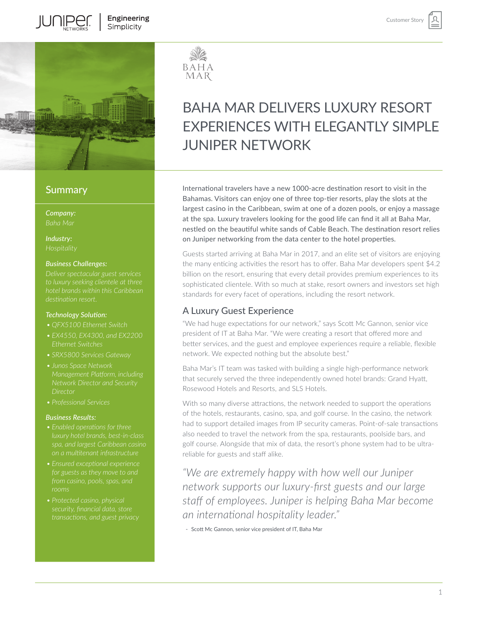

# **Summary**

*Company:*

*Industry:*

### *Business Challenges:*

*hotel brands within this Caribbean* 

### *Technology Solution:*

- *• QFX5100 Ethernet Switch*
- *• EX4550, EX4300, and EX2200*
- *• SRX5800 Services Gateway*
- *• Junos Space Network Director*
- *• Professional Services*

### *Business Results:*

- *• Enabled operations for three spa, and largest Caribbean casino*
- *• Ensured exceptional experience*
- *security, financial data, store*



# BAHA MAR DELIVERS LUXURY RESORT EXPERIENCES WITH ELEGANTLY SIMPLE JUNIPER NETWORK

International travelers have a new 1000-acre destination resort to visit in the Bahamas. Visitors can enjoy one of three top-tier resorts, play the slots at the largest casino in the Caribbean, swim at one of a dozen pools, or enjoy a massage at the spa. Luxury travelers looking for the good life can find it all at Baha Mar, nestled on the beautiful white sands of Cable Beach. The destination resort relies on Juniper networking from the data center to the hotel properties.

Guests started arriving at Baha Mar in 2017, and an elite set of visitors are enjoying the many enticing activities the resort has to offer. Baha Mar developers spent \$4.2 billion on the resort, ensuring that every detail provides premium experiences to its sophisticated clientele. With so much at stake, resort owners and investors set high standards for every facet of operations, including the resort network.

### A Luxury Guest Experience

"We had huge expectations for our network," says Scott Mc Gannon, senior vice president of IT at Baha Mar. "We were creating a resort that offered more and better services, and the guest and employee experiences require a reliable, flexible network. We expected nothing but the absolute best."

Baha Mar's IT team was tasked with building a single high-performance network that securely served the three independently owned hotel brands: Grand Hyatt, Rosewood Hotels and Resorts, and SLS Hotels.

With so many diverse attractions, the network needed to support the operations of the hotels, restaurants, casino, spa, and golf course. In the casino, the network had to support detailed images from IP security cameras. Point-of-sale transactions also needed to travel the network from the spa, restaurants, poolside bars, and golf course. Alongside that mix of data, the resort's phone system had to be ultrareliable for guests and staff alike.

*"We are extremely happy with how well our Juniper network supports our luxury-first guests and our large staff of employees. Juniper is helping Baha Mar become an international hospitality leader."* 

- Scott Mc Gannon, senior vice president of IT, Baha Mar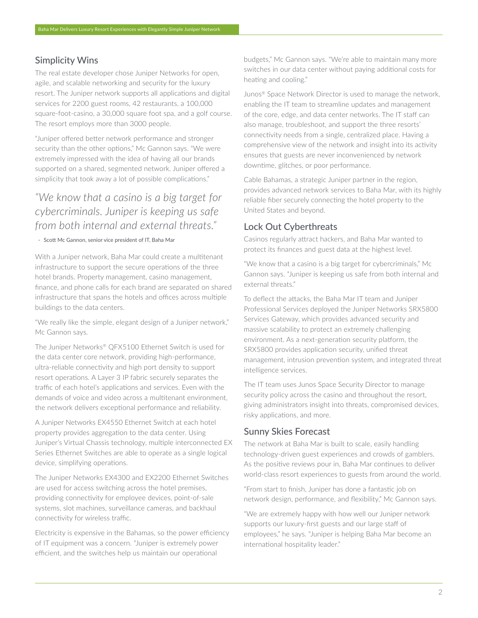# Simplicity Wins

The real estate developer chose Juniper Networks for open, agile, and scalable networking and security for the luxury resort. The Juniper network supports all applications and digital services for 2200 guest rooms, 42 restaurants, a 100,000 square-foot-casino, a 30,000 square foot spa, and a golf course. The resort employs more than 3000 people.

"Juniper offered better network performance and stronger security than the other options," Mc Gannon says. "We were extremely impressed with the idea of having all our brands supported on a shared, segmented network. Juniper offered a simplicity that took away a lot of possible complications."

# *"We know that a casino is a big target for cybercriminals. Juniper is keeping us safe from both internal and external threats."*

- Scott Mc Gannon, senior vice president of IT, Baha Mar

With a Juniper network, Baha Mar could create a multitenant infrastructure to support the secure operations of the three hotel brands. Property management, casino management, finance, and phone calls for each brand are separated on shared infrastructure that spans the hotels and offices across multiple buildings to the data centers.

"We really like the simple, elegant design of a Juniper network," Mc Gannon says.

The Juniper Networks® QFX5100 Ethernet Switch is used for the data center core network, providing high-performance, ultra-reliable connectivity and high port density to support resort operations. A Layer 3 IP fabric securely separates the traffic of each hotel's applications and services. Even with the demands of voice and video across a multitenant environment, the network delivers exceptional performance and reliability.

A Juniper Networks EX4550 Ethernet Switch at each hotel property provides aggregation to the data center. Using Juniper's Virtual Chassis technology, multiple interconnected EX Series Ethernet Switches are able to operate as a single logical device, simplifying operations.

The Juniper Networks EX4300 and EX2200 Ethernet Switches are used for access switching across the hotel premises, providing connectivity for employee devices, point-of-sale systems, slot machines, surveillance cameras, and backhaul connectivity for wireless traffic.

Electricity is expensive in the Bahamas, so the power efficiency of IT equipment was a concern. "Juniper is extremely power efficient, and the switches help us maintain our operational

budgets," Mc Gannon says. "We're able to maintain many more switches in our data center without paying additional costs for heating and cooling."

Junos® Space Network Director is used to manage the network, enabling the IT team to streamline updates and management of the core, edge, and data center networks. The IT staff can also manage, troubleshoot, and support the three resorts' connectivity needs from a single, centralized place. Having a comprehensive view of the network and insight into its activity ensures that guests are never inconvenienced by network downtime, glitches, or poor performance.

Cable Bahamas, a strategic Juniper partner in the region, provides advanced network services to Baha Mar, with its highly reliable fiber securely connecting the hotel property to the United States and beyond.

### Lock Out Cyberthreats

Casinos regularly attract hackers, and Baha Mar wanted to protect its finances and guest data at the highest level.

"We know that a casino is a big target for cybercriminals," Mc Gannon says. "Juniper is keeping us safe from both internal and external threats."

To deflect the attacks, the Baha Mar IT team and Juniper Professional Services deployed the Juniper Networks SRX5800 Services Gateway, which provides advanced security and massive scalability to protect an extremely challenging environment. As a next-generation security platform, the SRX5800 provides application security, unified threat management, intrusion prevention system, and integrated threat intelligence services.

The IT team uses Junos Space Security Director to manage security policy across the casino and throughout the resort, giving administrators insight into threats, compromised devices, risky applications, and more.

### Sunny Skies Forecast

The network at Baha Mar is built to scale, easily handling technology-driven guest experiences and crowds of gamblers. As the positive reviews pour in, Baha Mar continues to deliver world-class resort experiences to guests from around the world.

"From start to finish, Juniper has done a fantastic job on network design, performance, and flexibility," Mc Gannon says.

"We are extremely happy with how well our Juniper network supports our luxury-first guests and our large staff of employees," he says. "Juniper is helping Baha Mar become an international hospitality leader."